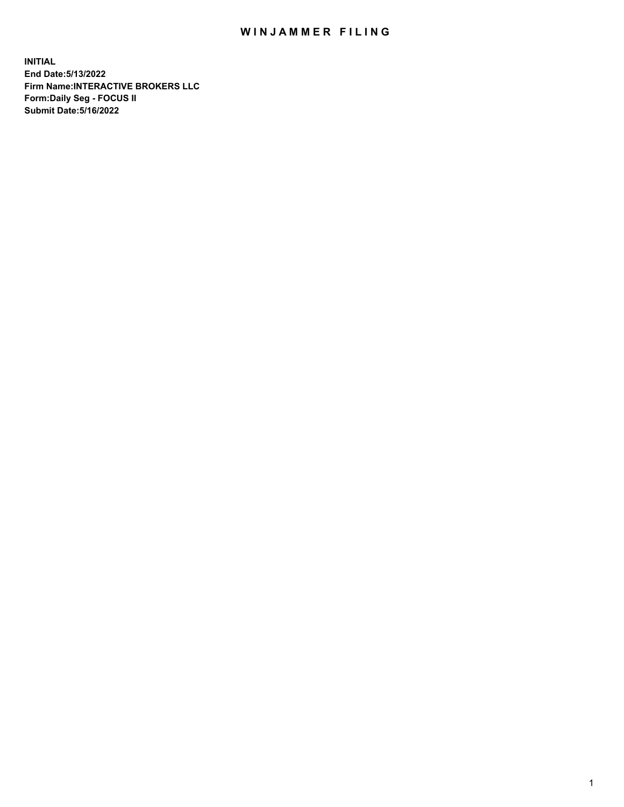## WIN JAMMER FILING

**INITIAL End Date:5/13/2022 Firm Name:INTERACTIVE BROKERS LLC Form:Daily Seg - FOCUS II Submit Date:5/16/2022**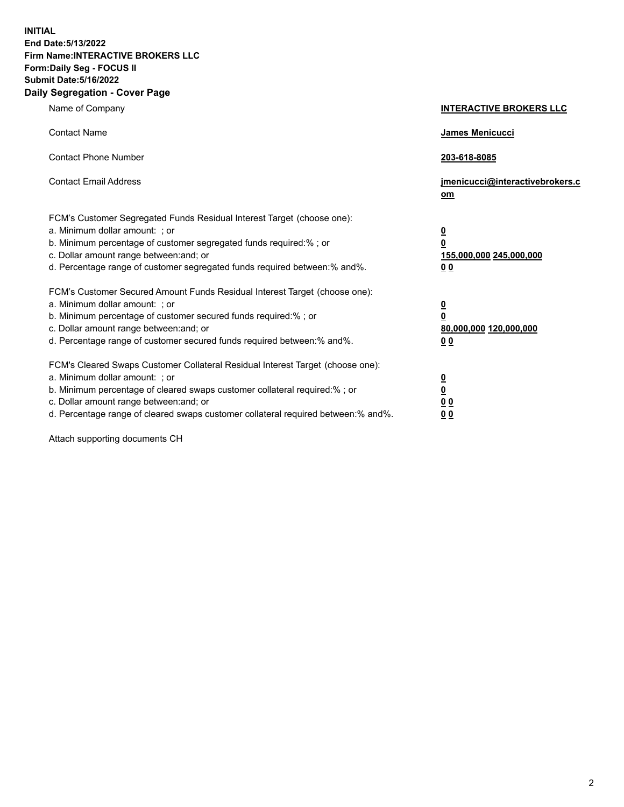**INITIAL End Date:5/13/2022 Firm Name:INTERACTIVE BROKERS LLC Form:Daily Seg - FOCUS II Submit Date:5/16/2022 Daily Segregation - Cover Page**

| Name of Company                                                                                                                                                                                                                                                                                                                | <b>INTERACTIVE BROKERS LLC</b>                                                   |
|--------------------------------------------------------------------------------------------------------------------------------------------------------------------------------------------------------------------------------------------------------------------------------------------------------------------------------|----------------------------------------------------------------------------------|
| <b>Contact Name</b>                                                                                                                                                                                                                                                                                                            | James Menicucci                                                                  |
| <b>Contact Phone Number</b>                                                                                                                                                                                                                                                                                                    | 203-618-8085                                                                     |
| <b>Contact Email Address</b>                                                                                                                                                                                                                                                                                                   | jmenicucci@interactivebrokers.c<br>om                                            |
| FCM's Customer Segregated Funds Residual Interest Target (choose one):<br>a. Minimum dollar amount: ; or<br>b. Minimum percentage of customer segregated funds required:% ; or<br>c. Dollar amount range between: and; or<br>d. Percentage range of customer segregated funds required between: % and %.                       | <u>0</u><br>$\overline{\mathbf{0}}$<br>155,000,000 245,000,000<br>0 <sub>0</sub> |
| FCM's Customer Secured Amount Funds Residual Interest Target (choose one):<br>a. Minimum dollar amount: ; or<br>b. Minimum percentage of customer secured funds required:%; or<br>c. Dollar amount range between: and; or<br>d. Percentage range of customer secured funds required between:% and%.                            | <u>0</u><br>$\overline{\mathbf{0}}$<br>80,000,000 120,000,000<br>0 <sub>0</sub>  |
| FCM's Cleared Swaps Customer Collateral Residual Interest Target (choose one):<br>a. Minimum dollar amount: ; or<br>b. Minimum percentage of cleared swaps customer collateral required:% ; or<br>c. Dollar amount range between: and; or<br>d. Percentage range of cleared swaps customer collateral required between:% and%. | <u>0</u><br>$\underline{\mathbf{0}}$<br>$\underline{0}$ $\underline{0}$<br>00    |

Attach supporting documents CH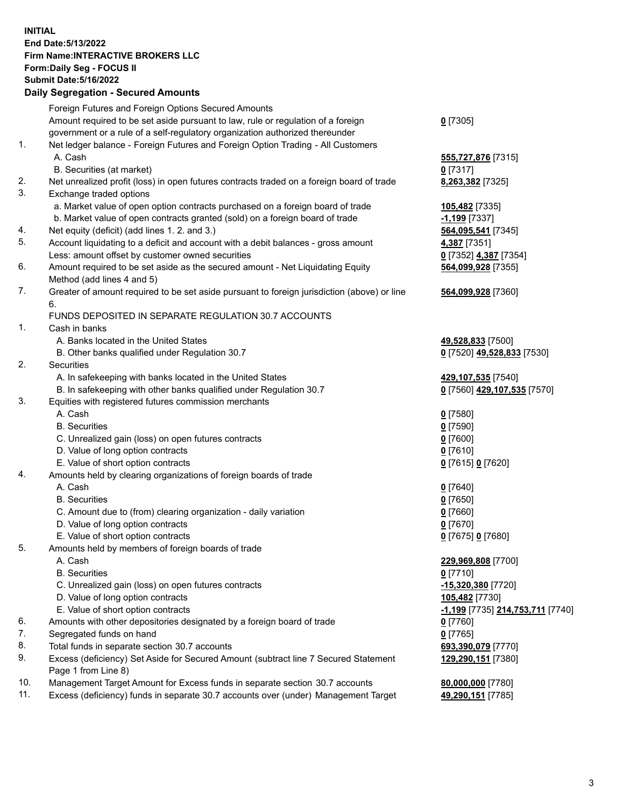## **INITIAL End Date:5/13/2022 Firm Name:INTERACTIVE BROKERS LLC Form:Daily Seg - FOCUS II Submit Date:5/16/2022 Daily Segregation - Secured Amounts**

|                | Daily Segregation - Secured Amounts                                                         |                                               |
|----------------|---------------------------------------------------------------------------------------------|-----------------------------------------------|
|                | Foreign Futures and Foreign Options Secured Amounts                                         |                                               |
|                | Amount required to be set aside pursuant to law, rule or regulation of a foreign            | $0$ [7305]                                    |
|                | government or a rule of a self-regulatory organization authorized thereunder                |                                               |
| $\mathbf{1}$ . | Net ledger balance - Foreign Futures and Foreign Option Trading - All Customers             |                                               |
|                | A. Cash                                                                                     | 555,727,876 [7315]                            |
|                | B. Securities (at market)                                                                   | $0$ [7317]                                    |
| 2.             | Net unrealized profit (loss) in open futures contracts traded on a foreign board of trade   | 8,263,382 [7325]                              |
| 3.             | Exchange traded options                                                                     |                                               |
|                | a. Market value of open option contracts purchased on a foreign board of trade              | 105,482 [7335]                                |
|                | b. Market value of open contracts granted (sold) on a foreign board of trade                | -1,199 [7337]                                 |
| 4.             | Net equity (deficit) (add lines 1. 2. and 3.)                                               | 564,095,541 [7345]                            |
| 5.             | Account liquidating to a deficit and account with a debit balances - gross amount           | 4,387 [7351]                                  |
|                | Less: amount offset by customer owned securities                                            | 0 [7352] 4,387 [7354]                         |
| 6.             | Amount required to be set aside as the secured amount - Net Liquidating Equity              | 564,099,928 [7355]                            |
|                | Method (add lines 4 and 5)                                                                  |                                               |
| 7.             | Greater of amount required to be set aside pursuant to foreign jurisdiction (above) or line | 564,099,928 [7360]                            |
|                | 6.                                                                                          |                                               |
|                | FUNDS DEPOSITED IN SEPARATE REGULATION 30.7 ACCOUNTS                                        |                                               |
| 1.             | Cash in banks                                                                               |                                               |
|                | A. Banks located in the United States                                                       | 49,528,833 [7500]                             |
|                | B. Other banks qualified under Regulation 30.7                                              | 0 [7520] 49,528,833 [7530]                    |
| 2.             | Securities                                                                                  |                                               |
|                | A. In safekeeping with banks located in the United States                                   | 429,107,535 [7540]                            |
|                | B. In safekeeping with other banks qualified under Regulation 30.7                          | 0 [7560] 429,107,535 [7570]                   |
| 3.             | Equities with registered futures commission merchants                                       |                                               |
|                | A. Cash                                                                                     | $0$ [7580]                                    |
|                | <b>B.</b> Securities                                                                        | $0$ [7590]                                    |
|                | C. Unrealized gain (loss) on open futures contracts                                         | $0$ [7600]                                    |
|                | D. Value of long option contracts                                                           | $0$ [7610]                                    |
|                | E. Value of short option contracts                                                          | 0 [7615] 0 [7620]                             |
| 4.             | Amounts held by clearing organizations of foreign boards of trade<br>A. Cash                |                                               |
|                | <b>B.</b> Securities                                                                        | $0$ [7640]                                    |
|                |                                                                                             | $0$ [7650]                                    |
|                | C. Amount due to (from) clearing organization - daily variation                             | $0$ [7660]<br>$0$ [7670]                      |
|                | D. Value of long option contracts                                                           |                                               |
| 5.             | E. Value of short option contracts                                                          | 0 [7675] 0 [7680]                             |
|                | Amounts held by members of foreign boards of trade<br>A. Cash                               | 229,969,808 [7700]                            |
|                | <b>B.</b> Securities                                                                        | $0$ [7710]                                    |
|                | C. Unrealized gain (loss) on open futures contracts                                         | -15,320,380 [7720]                            |
|                | D. Value of long option contracts                                                           | 105,482 [7730]                                |
|                | E. Value of short option contracts                                                          | <mark>-1,199</mark> [7735] 214,753,711 [7740] |
| 6.             | Amounts with other depositories designated by a foreign board of trade                      | $0$ [7760]                                    |
| 7.             | Segregated funds on hand                                                                    | $0$ [7765]                                    |
| 8.             | Total funds in separate section 30.7 accounts                                               | 693,390,079 [7770]                            |
| 9.             | Excess (deficiency) Set Aside for Secured Amount (subtract line 7 Secured Statement         | 129,290,151 [7380]                            |
|                | Page 1 from Line 8)                                                                         |                                               |
| 10.            | Management Target Amount for Excess funds in separate section 30.7 accounts                 | 80,000,000 [7780]                             |
| 11.            | Excess (deficiency) funds in separate 30.7 accounts over (under) Management Target          | 49,290,151 [7785]                             |
|                |                                                                                             |                                               |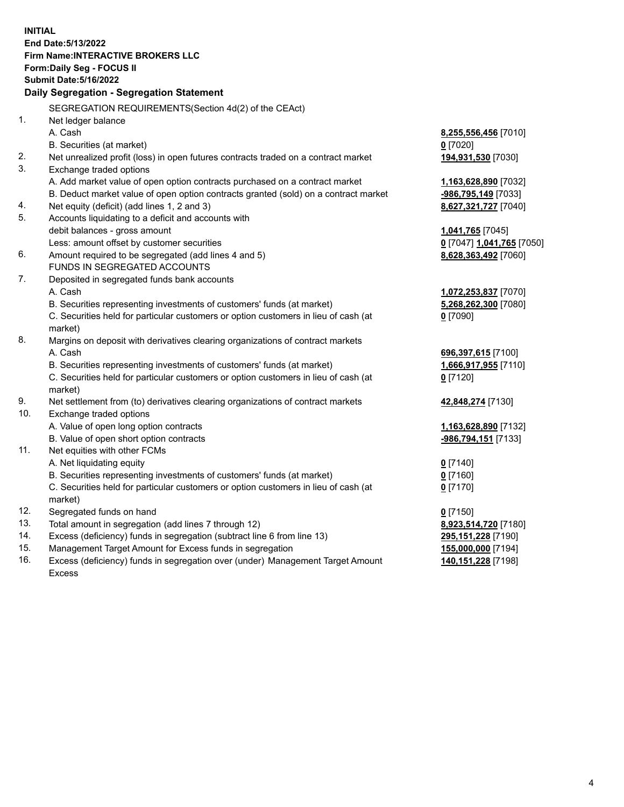**INITIAL End Date:5/13/2022 Firm Name:INTERACTIVE BROKERS LLC Form:Daily Seg - FOCUS II Submit Date:5/16/2022 Daily Segregation - Segregation Statement** SEGREGATION REQUIREMENTS(Section 4d(2) of the CEAct) 1. Net ledger balance A. Cash **8,255,556,456** [7010] B. Securities (at market) **0** [7020] 2. Net unrealized profit (loss) in open futures contracts traded on a contract market **194,931,530** [7030] 3. Exchange traded options A. Add market value of open option contracts purchased on a contract market **1,163,628,890** [7032] B. Deduct market value of open option contracts granted (sold) on a contract market **-986,795,149** [7033] 4. Net equity (deficit) (add lines 1, 2 and 3) **8,627,321,727** [7040] 5. Accounts liquidating to a deficit and accounts with debit balances - gross amount **1,041,765** [7045] Less: amount offset by customer securities **0** [7047] **1,041,765** [7050] 6. Amount required to be segregated (add lines 4 and 5) **8,628,363,492** [7060] FUNDS IN SEGREGATED ACCOUNTS 7. Deposited in segregated funds bank accounts A. Cash **1,072,253,837** [7070] B. Securities representing investments of customers' funds (at market) **5,268,262,300** [7080] C. Securities held for particular customers or option customers in lieu of cash (at market) **0** [7090] 8. Margins on deposit with derivatives clearing organizations of contract markets A. Cash **696,397,615** [7100] B. Securities representing investments of customers' funds (at market) **1,666,917,955** [7110] C. Securities held for particular customers or option customers in lieu of cash (at market) **0** [7120] 9. Net settlement from (to) derivatives clearing organizations of contract markets **42,848,274** [7130] 10. Exchange traded options A. Value of open long option contracts **1,163,628,890** [7132] B. Value of open short option contracts **-986,794,151** [7133] 11. Net equities with other FCMs A. Net liquidating equity **0** [7140] B. Securities representing investments of customers' funds (at market) **0** [7160] C. Securities held for particular customers or option customers in lieu of cash (at market) **0** [7170] 12. Segregated funds on hand **0** [7150] 13. Total amount in segregation (add lines 7 through 12) **8,923,514,720** [7180] 14. Excess (deficiency) funds in segregation (subtract line 6 from line 13) **295,151,228** [7190] 15. Management Target Amount for Excess funds in segregation **155,000,000** [7194] 16. Excess (deficiency) funds in segregation over (under) Management Target Amount Excess **140,151,228** [7198]